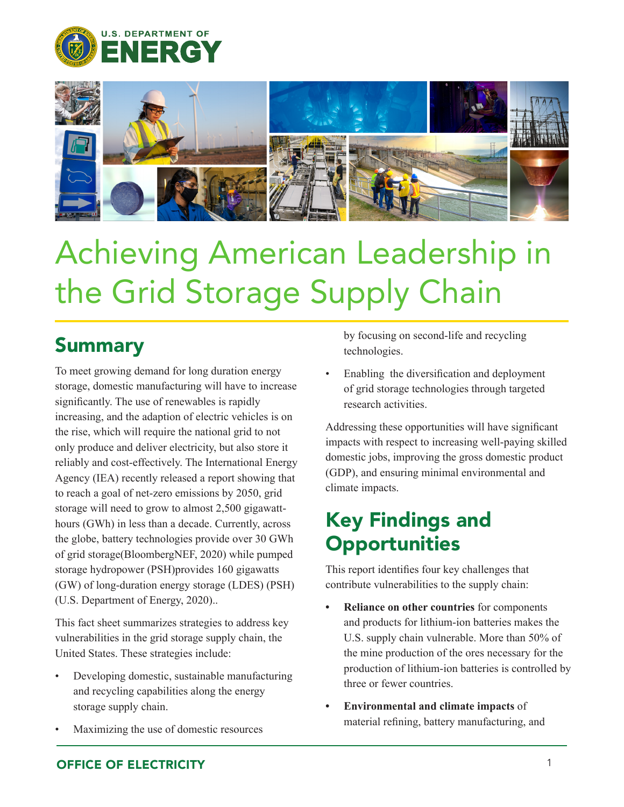



## Achieving American Leadership in the Grid Storage Supply Chain

## **Summary**

To meet growing demand for long duration energy storage, domestic manufacturing will have to increase significantly. The use of renewables is rapidly increasing, and the adaption of electric vehicles is on the rise, which will require the national grid to not only produce and deliver electricity, but also store it reliably and cost-effectively. The International Energy Agency (IEA) recently released a report showing that to reach a goal of net-zero emissions by 2050, grid storage will need to grow to almost 2,500 gigawatthours (GWh) in less than a decade. Currently, across the globe, battery technologies provide over 30 GWh of grid storage(BloombergNEF, 2020) while pumped storage hydropower (PSH)provides 160 gigawatts (GW) of long-duration energy storage (LDES) (PSH) (U.S. Department of Energy, 2020)..

This fact sheet summarizes strategies to address key vulnerabilities in the grid storage supply chain, the United States. These strategies include:

- Developing domestic, sustainable manufacturing and recycling capabilities along the energy storage supply chain.
- Maximizing the use of domestic resources

by focusing on second-life and recycling technologies.

Enabling the diversification and deployment of grid storage technologies through targeted research activities.

Addressing these opportunities will have significant impacts with respect to increasing well-paying skilled domestic jobs, improving the gross domestic product (GDP), and ensuring minimal environmental and climate impacts.

## Key Findings and **Opportunities**

This report identifies four key challenges that contribute vulnerabilities to the supply chain:

- **• Reliance on other countries** for components and products for lithium-ion batteries makes the U.S. supply chain vulnerable. More than 50% of the mine production of the ores necessary for the production of lithium-ion batteries is controlled by three or fewer countries.
- **• Environmental and climate impacts** of material refining, battery manufacturing, and